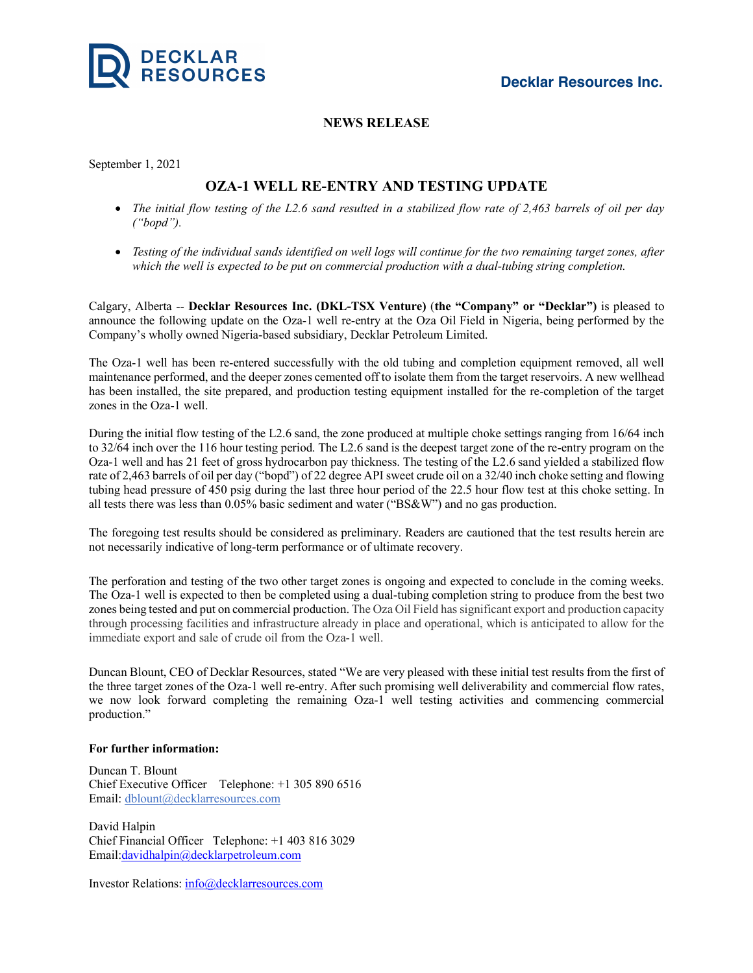

## **NEWS RELEASE**

September 1, 2021

## **OZA-1 WELL RE-ENTRY AND TESTING UPDATE**

- *The initial flow testing of the L2.6 sand resulted in a stabilized flow rate of 2,463 barrels of oil per day ("bopd").*
- *Testing of the individual sands identified on well logs will continue for the two remaining target zones, after which the well is expected to be put on commercial production with a dual-tubing string completion.*

Calgary, Alberta -- **Decklar Resources Inc. (DKL-TSX Venture)** (**the "Company" or "Decklar")** is pleased to announce the following update on the Oza-1 well re-entry at the Oza Oil Field in Nigeria, being performed by the Company's wholly owned Nigeria-based subsidiary, Decklar Petroleum Limited.

The Oza-1 well has been re-entered successfully with the old tubing and completion equipment removed, all well maintenance performed, and the deeper zones cemented off to isolate them from the target reservoirs. A new wellhead has been installed, the site prepared, and production testing equipment installed for the re-completion of the target zones in the Oza-1 well.

During the initial flow testing of the L2.6 sand, the zone produced at multiple choke settings ranging from 16/64 inch to 32/64 inch over the 116 hour testing period. The L2.6 sand is the deepest target zone of the re-entry program on the Oza-1 well and has 21 feet of gross hydrocarbon pay thickness. The testing of the L2.6 sand yielded a stabilized flow rate of 2,463 barrels of oil per day ("bopd") of 22 degree API sweet crude oil on a 32/40 inch choke setting and flowing tubing head pressure of 450 psig during the last three hour period of the 22.5 hour flow test at this choke setting. In all tests there was less than 0.05% basic sediment and water ("BS&W") and no gas production.

The foregoing test results should be considered as preliminary. Readers are cautioned that the test results herein are not necessarily indicative of long-term performance or of ultimate recovery.

The perforation and testing of the two other target zones is ongoing and expected to conclude in the coming weeks. The Oza-1 well is expected to then be completed using a dual-tubing completion string to produce from the best two zones being tested and put on commercial production. The Oza Oil Field has significant export and production capacity through processing facilities and infrastructure already in place and operational, which is anticipated to allow for the immediate export and sale of crude oil from the Oza-1 well.

Duncan Blount, CEO of Decklar Resources, stated "We are very pleased with these initial test results from the first of the three target zones of the Oza-1 well re-entry. After such promising well deliverability and commercial flow rates, we now look forward completing the remaining Oza-1 well testing activities and commencing commercial production."

## **For further information:**

Duncan T. Blount Chief Executive Officer Telephone: +1 305 890 6516 Email: dblount@decklarresources.com

David Halpin Chief Financial Officer Telephone: +1 403 816 3029 Email:davidhalpin@decklarpetroleum.com

Investor Relations: info@decklarresources.com